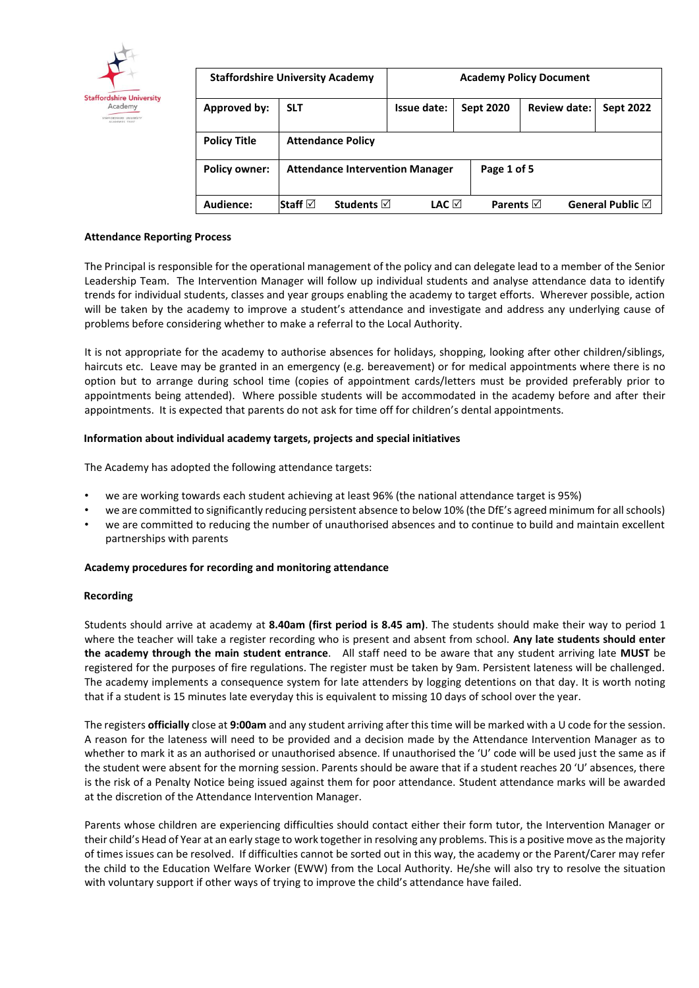

| <b>Staffordshire University Academy</b> |                                        | <b>Academy Policy Document</b> |                     |                     |                            |
|-----------------------------------------|----------------------------------------|--------------------------------|---------------------|---------------------|----------------------------|
| Approved by:                            | <b>SLT</b>                             | Issue date:                    | <b>Sept 2020</b>    | <b>Review date:</b> | <b>Sept 2022</b>           |
| <b>Policy Title</b>                     | <b>Attendance Policy</b>               |                                |                     |                     |                            |
| <b>Policy owner:</b>                    | <b>Attendance Intervention Manager</b> |                                | Page 1 of 5         |                     |                            |
| Audience:                               | <b>Students</b> ⊠<br> Staff ⊠          | LAC ⊠                          | Parents $\boxtimes$ |                     | General Public $\boxtimes$ |

## **Attendance Reporting Process**

The Principal is responsible for the operational management of the policy and can delegate lead to a member of the Senior Leadership Team. The Intervention Manager will follow up individual students and analyse attendance data to identify trends for individual students, classes and year groups enabling the academy to target efforts. Wherever possible, action will be taken by the academy to improve a student's attendance and investigate and address any underlying cause of problems before considering whether to make a referral to the Local Authority.

It is not appropriate for the academy to authorise absences for holidays, shopping, looking after other children/siblings, haircuts etc. Leave may be granted in an emergency (e.g. bereavement) or for medical appointments where there is no option but to arrange during school time (copies of appointment cards/letters must be provided preferably prior to appointments being attended). Where possible students will be accommodated in the academy before and after their appointments. It is expected that parents do not ask for time off for children's dental appointments.

## **Information about individual academy targets, projects and special initiatives**

The Academy has adopted the following attendance targets:

- we are working towards each student achieving at least 96% (the national attendance target is 95%)
- we are committed to significantly reducing persistent absence to below 10% (the DfE's agreed minimum for all schools)
- we are committed to reducing the number of unauthorised absences and to continue to build and maintain excellent partnerships with parents

## **Academy procedures for recording and monitoring attendance**

#### **Recording**

Students should arrive at academy at **8.40am (first period is 8.45 am)**. The students should make their way to period 1 where the teacher will take a register recording who is present and absent from school. **Any late students should enter the academy through the main student entrance**. All staff need to be aware that any student arriving late **MUST** be registered for the purposes of fire regulations. The register must be taken by 9am. Persistent lateness will be challenged. The academy implements a consequence system for late attenders by logging detentions on that day. It is worth noting that if a student is 15 minutes late everyday this is equivalent to missing 10 days of school over the year.

The registers **officially** close at **9:00am** and any student arriving after this time will be marked with a U code for the session. A reason for the lateness will need to be provided and a decision made by the Attendance Intervention Manager as to whether to mark it as an authorised or unauthorised absence. If unauthorised the 'U' code will be used just the same as if the student were absent for the morning session. Parents should be aware that if a student reaches 20 'U' absences, there is the risk of a Penalty Notice being issued against them for poor attendance. Student attendance marks will be awarded at the discretion of the Attendance Intervention Manager.

Parents whose children are experiencing difficulties should contact either their form tutor, the Intervention Manager or their child's Head of Year at an early stage to work together in resolving any problems. This is a positive move as the majority of times issues can be resolved. If difficulties cannot be sorted out in this way, the academy or the Parent/Carer may refer the child to the Education Welfare Worker (EWW) from the Local Authority. He/she will also try to resolve the situation with voluntary support if other ways of trying to improve the child's attendance have failed.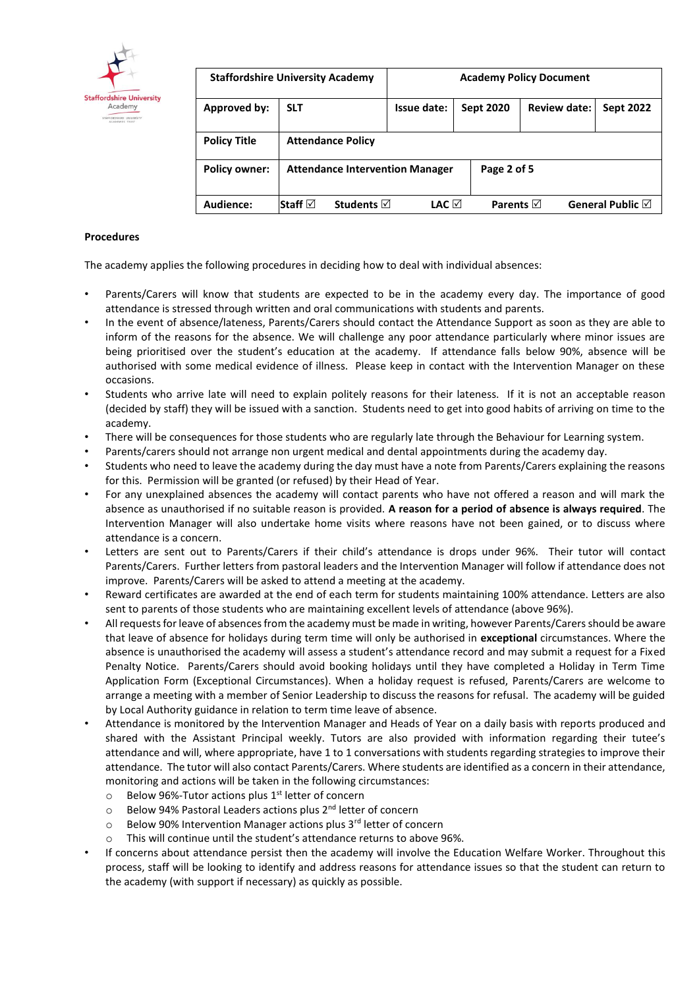

| <b>Staffordshire University Academy</b> |                                        | <b>Academy Policy Document</b> |                  |                     |                  |
|-----------------------------------------|----------------------------------------|--------------------------------|------------------|---------------------|------------------|
| Approved by:                            | <b>SLT</b>                             | Issue date:                    | <b>Sept 2020</b> | <b>Review date:</b> | <b>Sept 2022</b> |
| <b>Policy Title</b>                     | <b>Attendance Policy</b>               |                                |                  |                     |                  |
| <b>Policy owner:</b>                    | <b>Attendance Intervention Manager</b> |                                | Page 2 of 5      |                     |                  |
| Audience:                               | Staff ⊠<br>Students $\triangledown$    | LAC ⊠                          | Parents $\nabla$ |                     | General Public ⊠ |

## **Procedures**

The academy applies the following procedures in deciding how to deal with individual absences:

- Parents/Carers will know that students are expected to be in the academy every day. The importance of good attendance is stressed through written and oral communications with students and parents.
- In the event of absence/lateness, Parents/Carers should contact the Attendance Support as soon as they are able to inform of the reasons for the absence. We will challenge any poor attendance particularly where minor issues are being prioritised over the student's education at the academy. If attendance falls below 90%, absence will be authorised with some medical evidence of illness. Please keep in contact with the Intervention Manager on these occasions.
- Students who arrive late will need to explain politely reasons for their lateness. If it is not an acceptable reason (decided by staff) they will be issued with a sanction. Students need to get into good habits of arriving on time to the academy.
- There will be consequences for those students who are regularly late through the Behaviour for Learning system.
- Parents/carers should not arrange non urgent medical and dental appointments during the academy day.
- Students who need to leave the academy during the day must have a note from Parents/Carers explaining the reasons for this. Permission will be granted (or refused) by their Head of Year.
- For any unexplained absences the academy will contact parents who have not offered a reason and will mark the absence as unauthorised if no suitable reason is provided. **A reason for a period of absence is always required**. The Intervention Manager will also undertake home visits where reasons have not been gained, or to discuss where attendance is a concern.
- Letters are sent out to Parents/Carers if their child's attendance is drops under 96%. Their tutor will contact Parents/Carers. Further letters from pastoral leaders and the Intervention Manager will follow if attendance does not improve. Parents/Carers will be asked to attend a meeting at the academy.
- Reward certificates are awarded at the end of each term for students maintaining 100% attendance. Letters are also sent to parents of those students who are maintaining excellent levels of attendance (above 96%).
- All requests for leave of absences from the academy must be made in writing, however Parents/Carers should be aware that leave of absence for holidays during term time will only be authorised in **exceptional** circumstances. Where the absence is unauthorised the academy will assess a student's attendance record and may submit a request for a Fixed Penalty Notice. Parents/Carers should avoid booking holidays until they have completed a Holiday in Term Time Application Form (Exceptional Circumstances). When a holiday request is refused, Parents/Carers are welcome to arrange a meeting with a member of Senior Leadership to discuss the reasons for refusal. The academy will be guided by Local Authority guidance in relation to term time leave of absence.
- Attendance is monitored by the Intervention Manager and Heads of Year on a daily basis with reports produced and shared with the Assistant Principal weekly. Tutors are also provided with information regarding their tutee's attendance and will, where appropriate, have 1 to 1 conversations with students regarding strategies to improve their attendance. The tutor will also contact Parents/Carers. Where students are identified as a concern in their attendance, monitoring and actions will be taken in the following circumstances:
	- $\circ$  Below 96%-Tutor actions plus 1<sup>st</sup> letter of concern
	- $\circ$  Below 94% Pastoral Leaders actions plus 2<sup>nd</sup> letter of concern
	- $\circ$  Below 90% Intervention Manager actions plus 3<sup>rd</sup> letter of concern
	- o This will continue until the student's attendance returns to above 96%.
- If concerns about attendance persist then the academy will involve the Education Welfare Worker. Throughout this process, staff will be looking to identify and address reasons for attendance issues so that the student can return to the academy (with support if necessary) as quickly as possible.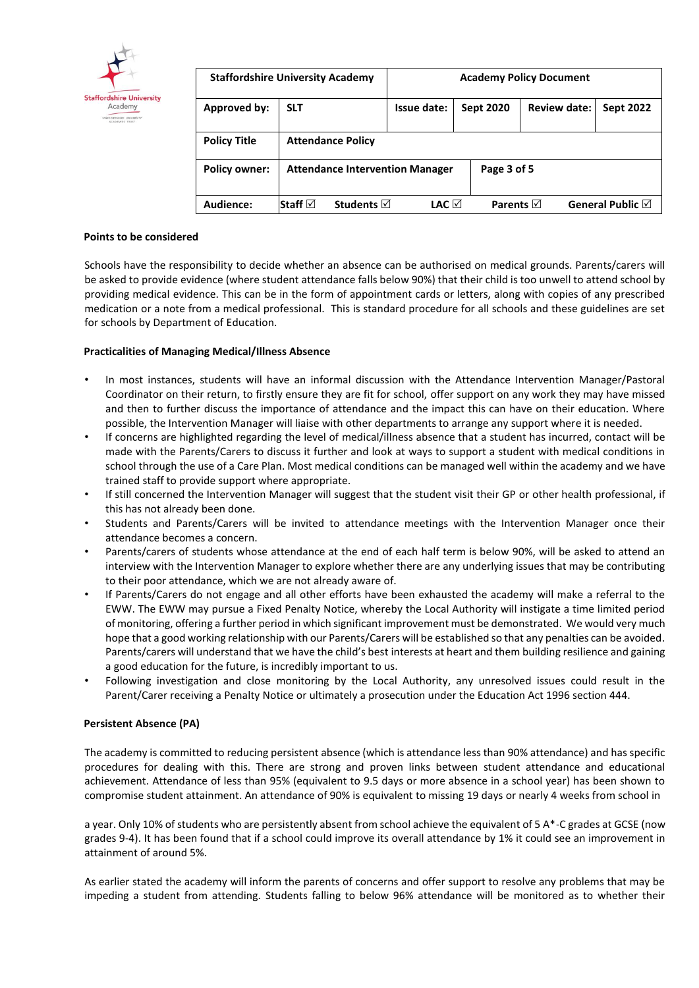

| <b>Staffordshire University Academy</b> |                                        | <b>Academy Policy Document</b> |                   |                     |                            |
|-----------------------------------------|----------------------------------------|--------------------------------|-------------------|---------------------|----------------------------|
| Approved by:                            | <b>SLT</b>                             | Issue date:                    | <b>Sept 2020</b>  | <b>Review date:</b> | <b>Sept 2022</b>           |
| <b>Policy Title</b>                     | <b>Attendance Policy</b>               |                                |                   |                     |                            |
| <b>Policy owner:</b>                    | <b>Attendance Intervention Manager</b> |                                |                   | Page 3 of 5         |                            |
| Audience:                               | Staff $\boxtimes$<br><b>Students</b> ⊠ | LAC ⊠                          | Parents $\boxdot$ |                     | General Public $\boxtimes$ |

## **Points to be considered**

Schools have the responsibility to decide whether an absence can be authorised on medical grounds. Parents/carers will be asked to provide evidence (where student attendance falls below 90%) that their child is too unwell to attend school by providing medical evidence. This can be in the form of appointment cards or letters, along with copies of any prescribed medication or a note from a medical professional. This is standard procedure for all schools and these guidelines are set for schools by Department of Education.

#### **Practicalities of Managing Medical/Illness Absence**

- In most instances, students will have an informal discussion with the Attendance Intervention Manager/Pastoral Coordinator on their return, to firstly ensure they are fit for school, offer support on any work they may have missed and then to further discuss the importance of attendance and the impact this can have on their education. Where possible, the Intervention Manager will liaise with other departments to arrange any support where it is needed.
- If concerns are highlighted regarding the level of medical/illness absence that a student has incurred, contact will be made with the Parents/Carers to discuss it further and look at ways to support a student with medical conditions in school through the use of a Care Plan. Most medical conditions can be managed well within the academy and we have trained staff to provide support where appropriate.
- If still concerned the Intervention Manager will suggest that the student visit their GP or other health professional, if this has not already been done.
- Students and Parents/Carers will be invited to attendance meetings with the Intervention Manager once their attendance becomes a concern.
- Parents/carers of students whose attendance at the end of each half term is below 90%, will be asked to attend an interview with the Intervention Manager to explore whether there are any underlying issues that may be contributing to their poor attendance, which we are not already aware of.
- If Parents/Carers do not engage and all other efforts have been exhausted the academy will make a referral to the EWW. The EWW may pursue a Fixed Penalty Notice, whereby the Local Authority will instigate a time limited period of monitoring, offering a further period in which significant improvement must be demonstrated. We would very much hope that a good working relationship with our Parents/Carers will be established so that any penalties can be avoided. Parents/carers will understand that we have the child's best interests at heart and them building resilience and gaining a good education for the future, is incredibly important to us.
- Following investigation and close monitoring by the Local Authority, any unresolved issues could result in the Parent/Carer receiving a Penalty Notice or ultimately a prosecution under the Education Act 1996 section 444.

## **Persistent Absence (PA)**

The academy is committed to reducing persistent absence (which is attendance less than 90% attendance) and has specific procedures for dealing with this. There are strong and proven links between student attendance and educational achievement. Attendance of less than 95% (equivalent to 9.5 days or more absence in a school year) has been shown to compromise student attainment. An attendance of 90% is equivalent to missing 19 days or nearly 4 weeks from school in

a year. Only 10% of students who are persistently absent from school achieve the equivalent of 5 A\*-C grades at GCSE (now grades 9-4). It has been found that if a school could improve its overall attendance by 1% it could see an improvement in attainment of around 5%.

As earlier stated the academy will inform the parents of concerns and offer support to resolve any problems that may be impeding a student from attending. Students falling to below 96% attendance will be monitored as to whether their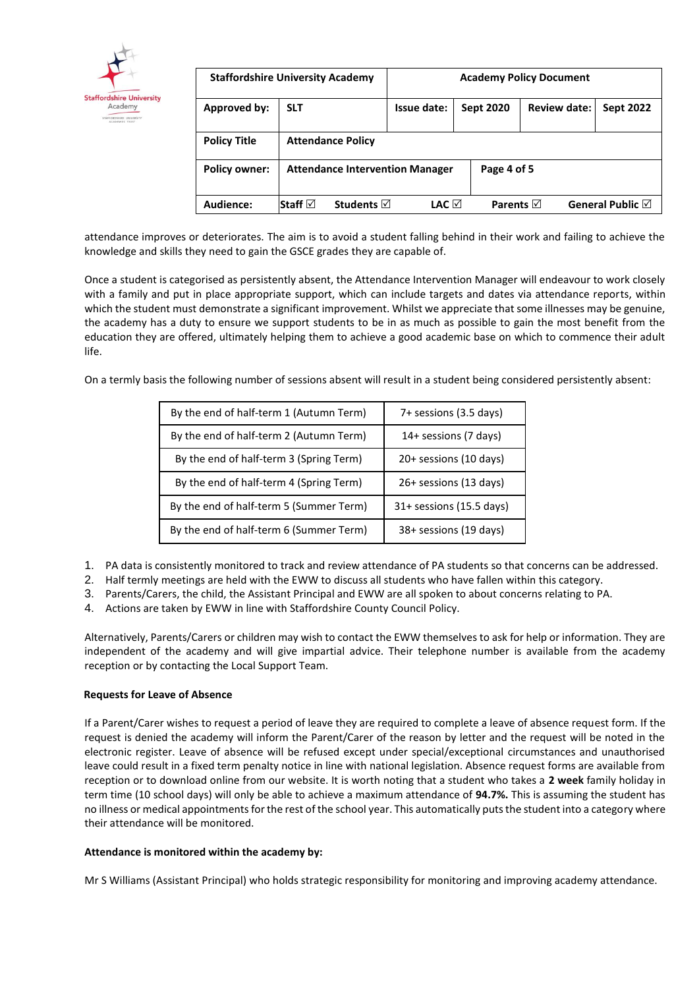

| <b>Staffordshire University Academy</b> |                                        | <b>Academy Policy Document</b> |                  |                     |                            |
|-----------------------------------------|----------------------------------------|--------------------------------|------------------|---------------------|----------------------------|
| Approved by:                            | <b>SLT</b>                             | Issue date:                    | <b>Sept 2020</b> | <b>Review date:</b> | <b>Sept 2022</b>           |
| <b>Policy Title</b>                     | <b>Attendance Policy</b>               |                                |                  |                     |                            |
| <b>Policy owner:</b>                    | <b>Attendance Intervention Manager</b> |                                | Page 4 of 5      |                     |                            |
| Audience:                               | Staff ⊠<br>Students $\triangledown$    | LAC ⊠                          | Parents $\nabla$ |                     | General Public $\boxtimes$ |

attendance improves or deteriorates. The aim is to avoid a student falling behind in their work and failing to achieve the knowledge and skills they need to gain the GSCE grades they are capable of.

Once a student is categorised as persistently absent, the Attendance Intervention Manager will endeavour to work closely with a family and put in place appropriate support, which can include targets and dates via attendance reports, within which the student must demonstrate a significant improvement. Whilst we appreciate that some illnesses may be genuine, the academy has a duty to ensure we support students to be in as much as possible to gain the most benefit from the education they are offered, ultimately helping them to achieve a good academic base on which to commence their adult life.

On a termly basis the following number of sessions absent will result in a student being considered persistently absent:

| By the end of half-term 1 (Autumn Term) | 7+ sessions (3.5 days)   |
|-----------------------------------------|--------------------------|
| By the end of half-term 2 (Autumn Term) | 14+ sessions (7 days)    |
| By the end of half-term 3 (Spring Term) | 20+ sessions (10 days)   |
| By the end of half-term 4 (Spring Term) | 26+ sessions (13 days)   |
| By the end of half-term 5 (Summer Term) | 31+ sessions (15.5 days) |
| By the end of half-term 6 (Summer Term) | 38+ sessions (19 days)   |

- 1. PA data is consistently monitored to track and review attendance of PA students so that concerns can be addressed.
- 2. Half termly meetings are held with the EWW to discuss all students who have fallen within this category.
- 3. Parents/Carers, the child, the Assistant Principal and EWW are all spoken to about concerns relating to PA.
- 4. Actions are taken by EWW in line with Staffordshire County Council Policy.

Alternatively, Parents/Carers or children may wish to contact the EWW themselves to ask for help or information. They are independent of the academy and will give impartial advice. Their telephone number is available from the academy reception or by contacting the Local Support Team.

# **Requests for Leave of Absence**

If a Parent/Carer wishes to request a period of leave they are required to complete a leave of absence request form. If the request is denied the academy will inform the Parent/Carer of the reason by letter and the request will be noted in the electronic register. Leave of absence will be refused except under special/exceptional circumstances and unauthorised leave could result in a fixed term penalty notice in line with national legislation. Absence request forms are available from reception or to download online from our website. It is worth noting that a student who takes a **2 week** family holiday in term time (10 school days) will only be able to achieve a maximum attendance of **94.7%.** This is assuming the student has no illness or medical appointments for the rest of the school year. This automatically puts the student into a category where their attendance will be monitored.

# **Attendance is monitored within the academy by:**

Mr S Williams (Assistant Principal) who holds strategic responsibility for monitoring and improving academy attendance.